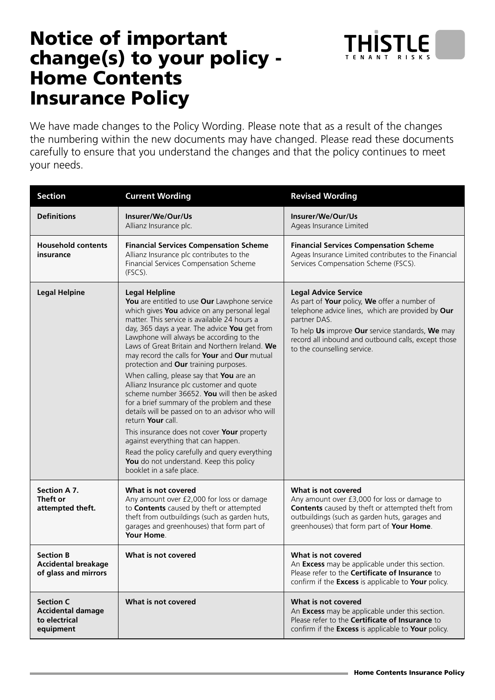## Notice of important change(s) to your policy - Home Contents Insurance Policy

We have made changes to the Policy Wording. Please note that as a result of the changes the numbering within the new documents may have changed. Please read these documents carefully to ensure that you understand the changes and that the policy continues to meet your needs.

| <b>Section</b>                                                             | <b>Current Wording</b>                                                                                                                                                                                                                                                                                                                                                                                                                                                                                                                                                                                                                                                                                                                                                                                                                                                                       | <b>Revised Wording</b>                                                                                                                                                                                                                                                                     |
|----------------------------------------------------------------------------|----------------------------------------------------------------------------------------------------------------------------------------------------------------------------------------------------------------------------------------------------------------------------------------------------------------------------------------------------------------------------------------------------------------------------------------------------------------------------------------------------------------------------------------------------------------------------------------------------------------------------------------------------------------------------------------------------------------------------------------------------------------------------------------------------------------------------------------------------------------------------------------------|--------------------------------------------------------------------------------------------------------------------------------------------------------------------------------------------------------------------------------------------------------------------------------------------|
| <b>Definitions</b>                                                         | Insurer/We/Our/Us<br>Allianz Insurance plc.                                                                                                                                                                                                                                                                                                                                                                                                                                                                                                                                                                                                                                                                                                                                                                                                                                                  | Insurer/We/Our/Us<br>Ageas Insurance Limited                                                                                                                                                                                                                                               |
| <b>Household contents</b><br>insurance                                     | <b>Financial Services Compensation Scheme</b><br>Allianz Insurance plc contributes to the<br>Financial Services Compensation Scheme<br>(FSCS).                                                                                                                                                                                                                                                                                                                                                                                                                                                                                                                                                                                                                                                                                                                                               | <b>Financial Services Compensation Scheme</b><br>Ageas Insurance Limited contributes to the Financial<br>Services Compensation Scheme (FSCS).                                                                                                                                              |
| <b>Legal Helpine</b>                                                       | <b>Legal Helpline</b><br>You are entitled to use Our Lawphone service<br>which gives You advice on any personal legal<br>matter. This service is available 24 hours a<br>day, 365 days a year. The advice You get from<br>Lawphone will always be according to the<br>Laws of Great Britain and Northern Ireland. We<br>may record the calls for Your and Our mutual<br>protection and Our training purposes.<br>When calling, please say that You are an<br>Allianz Insurance plc customer and quote<br>scheme number 36652. You will then be asked<br>for a brief summary of the problem and these<br>details will be passed on to an advisor who will<br>return Your call.<br>This insurance does not cover Your property<br>against everything that can happen.<br>Read the policy carefully and query everything<br>You do not understand. Keep this policy<br>booklet in a safe place. | <b>Legal Advice Service</b><br>As part of Your policy, We offer a number of<br>telephone advice lines, which are provided by Our<br>partner DAS.<br>To help Us improve Our service standards, We may<br>record all inbound and outbound calls, except those<br>to the counselling service. |
| Section A 7.<br>Theft or<br>attempted theft.                               | What is not covered<br>Any amount over £2,000 for loss or damage<br>to Contents caused by theft or attempted<br>theft from outbuildings (such as garden huts,<br>garages and greenhouses) that form part of<br>Your Home.                                                                                                                                                                                                                                                                                                                                                                                                                                                                                                                                                                                                                                                                    | What is not covered<br>Any amount over £3,000 for loss or damage to<br><b>Contents</b> caused by theft or attempted theft from<br>outbuildings (such as garden huts, garages and<br>greenhouses) that form part of Your Home.                                                              |
| <b>Section B</b><br><b>Accidental breakage</b><br>of glass and mirrors     | What is not covered                                                                                                                                                                                                                                                                                                                                                                                                                                                                                                                                                                                                                                                                                                                                                                                                                                                                          | What is not covered<br>An Excess may be applicable under this section.<br>Please refer to the Certificate of Insurance to<br>confirm if the Excess is applicable to Your policy.                                                                                                           |
| <b>Section C</b><br><b>Accidental damage</b><br>to electrical<br>equipment | What is not covered                                                                                                                                                                                                                                                                                                                                                                                                                                                                                                                                                                                                                                                                                                                                                                                                                                                                          | What is not covered<br>An Excess may be applicable under this section.<br>Please refer to the <b>Certificate of Insurance</b> to<br>confirm if the Excess is applicable to Your policy.                                                                                                    |

TENANT RISKS

**HISTLE**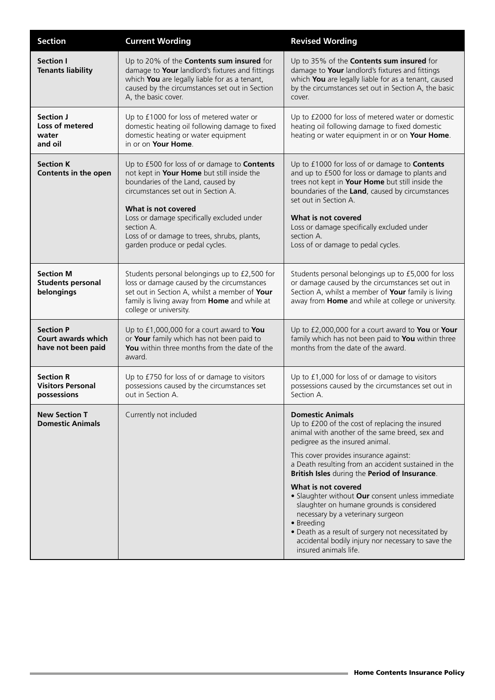| <b>Section</b>                                                      | <b>Current Wording</b>                                                                                                                                                                                                                                                                                                                             | <b>Revised Wording</b>                                                                                                                                                                                                                                                                                                                                                                                                                                                                                                                                                                                                            |
|---------------------------------------------------------------------|----------------------------------------------------------------------------------------------------------------------------------------------------------------------------------------------------------------------------------------------------------------------------------------------------------------------------------------------------|-----------------------------------------------------------------------------------------------------------------------------------------------------------------------------------------------------------------------------------------------------------------------------------------------------------------------------------------------------------------------------------------------------------------------------------------------------------------------------------------------------------------------------------------------------------------------------------------------------------------------------------|
| <b>Section I</b><br><b>Tenants liability</b>                        | Up to 20% of the <b>Contents sum insured</b> for<br>damage to Your landlord's fixtures and fittings<br>which You are legally liable for as a tenant,<br>caused by the circumstances set out in Section<br>A, the basic cover.                                                                                                                      | Up to 35% of the <b>Contents sum insured</b> for<br>damage to Your landlord's fixtures and fittings<br>which You are legally liable for as a tenant, caused<br>by the circumstances set out in Section A, the basic<br>cover.                                                                                                                                                                                                                                                                                                                                                                                                     |
| Section J<br>Loss of metered<br>water<br>and oil                    | Up to £1000 for loss of metered water or<br>domestic heating oil following damage to fixed<br>domestic heating or water equipment<br>in or on Your Home.                                                                                                                                                                                           | Up to £2000 for loss of metered water or domestic<br>heating oil following damage to fixed domestic<br>heating or water equipment in or on Your Home.                                                                                                                                                                                                                                                                                                                                                                                                                                                                             |
| <b>Section K</b><br>Contents in the open                            | Up to £500 for loss of or damage to <b>Contents</b><br>not kept in Your Home but still inside the<br>boundaries of the Land, caused by<br>circumstances set out in Section A.<br>What is not covered<br>Loss or damage specifically excluded under<br>section A.<br>Loss of or damage to trees, shrubs, plants,<br>garden produce or pedal cycles. | Up to £1000 for loss of or damage to <b>Contents</b><br>and up to £500 for loss or damage to plants and<br>trees not kept in Your Home but still inside the<br>boundaries of the Land, caused by circumstances<br>set out in Section A.<br>What is not covered<br>Loss or damage specifically excluded under<br>section A.<br>Loss of or damage to pedal cycles.                                                                                                                                                                                                                                                                  |
| <b>Section M</b><br><b>Students personal</b><br>belongings          | Students personal belongings up to £2,500 for<br>loss or damage caused by the circumstances<br>set out in Section A, whilst a member of Your<br>family is living away from Home and while at<br>college or university.                                                                                                                             | Students personal belongings up to £5,000 for loss<br>or damage caused by the circumstances set out in<br>Section A, whilst a member of Your family is living<br>away from Home and while at college or university.                                                                                                                                                                                                                                                                                                                                                                                                               |
| <b>Section P</b><br><b>Court awards which</b><br>have not been paid | Up to £1,000,000 for a court award to You<br>or Your family which has not been paid to<br>You within three months from the date of the<br>award.                                                                                                                                                                                                   | Up to £2,000,000 for a court award to You or Your<br>family which has not been paid to You within three<br>months from the date of the award.                                                                                                                                                                                                                                                                                                                                                                                                                                                                                     |
| <b>Section R</b><br><b>Visitors Personal</b><br>possessions         | Up to £750 for loss of or damage to visitors<br>possessions caused by the circumstances set<br>out in Section A.                                                                                                                                                                                                                                   | Up to £1,000 for loss of or damage to visitors<br>possessions caused by the circumstances set out in<br>Section A.                                                                                                                                                                                                                                                                                                                                                                                                                                                                                                                |
| <b>New Section T</b><br><b>Domestic Animals</b>                     | Currently not included                                                                                                                                                                                                                                                                                                                             | <b>Domestic Animals</b><br>Up to £200 of the cost of replacing the insured<br>animal with another of the same breed, sex and<br>pedigree as the insured animal.<br>This cover provides insurance against:<br>a Death resulting from an accident sustained in the<br>British Isles during the Period of Insurance.<br>What is not covered<br>• Slaughter without Our consent unless immediate<br>slaughter on humane grounds is considered<br>necessary by a veterinary surgeon<br>• Breeding<br>• Death as a result of surgery not necessitated by<br>accidental bodily injury nor necessary to save the<br>insured animals life. |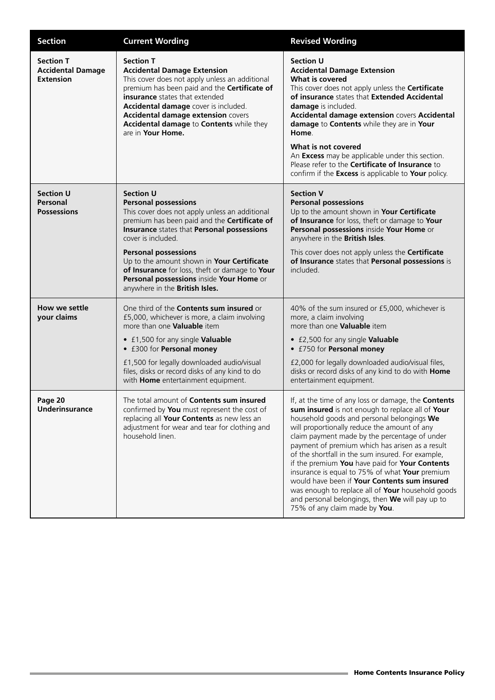| <b>Section</b>                                                   | <b>Current Wording</b>                                                                                                                                                                                                                                                                                                                                                                                                             | <b>Revised Wording</b>                                                                                                                                                                                                                                                                                                                                                                                                                                                                                                                                                                                                                                             |
|------------------------------------------------------------------|------------------------------------------------------------------------------------------------------------------------------------------------------------------------------------------------------------------------------------------------------------------------------------------------------------------------------------------------------------------------------------------------------------------------------------|--------------------------------------------------------------------------------------------------------------------------------------------------------------------------------------------------------------------------------------------------------------------------------------------------------------------------------------------------------------------------------------------------------------------------------------------------------------------------------------------------------------------------------------------------------------------------------------------------------------------------------------------------------------------|
| <b>Section T</b><br><b>Accidental Damage</b><br><b>Extension</b> | <b>Section T</b><br><b>Accidental Damage Extension</b><br>This cover does not apply unless an additional<br>premium has been paid and the Certificate of<br>insurance states that extended<br>Accidental damage cover is included.<br><b>Accidental damage extension covers</b><br>Accidental damage to Contents while they<br>are in Your Home.                                                                                   | <b>Section U</b><br><b>Accidental Damage Extension</b><br>What is covered<br>This cover does not apply unless the Certificate<br>of insurance states that Extended Accidental<br>damage is included.<br>Accidental damage extension covers Accidental<br>damage to Contents while they are in Your<br>Home.<br>What is not covered<br>An Excess may be applicable under this section.<br>Please refer to the Certificate of Insurance to<br>confirm if the Excess is applicable to Your policy.                                                                                                                                                                    |
| <b>Section U</b><br>Personal<br><b>Possessions</b>               | <b>Section U</b><br><b>Personal possessions</b><br>This cover does not apply unless an additional<br>premium has been paid and the Certificate of<br>Insurance states that Personal possessions<br>cover is included.<br><b>Personal possessions</b><br>Up to the amount shown in Your Certificate<br>of Insurance for loss, theft or damage to Your<br>Personal possessions inside Your Home or<br>anywhere in the British Isles. | <b>Section V</b><br><b>Personal possessions</b><br>Up to the amount shown in Your Certificate<br>of Insurance for loss, theft or damage to Your<br>Personal possessions inside Your Home or<br>anywhere in the British Isles.<br>This cover does not apply unless the Certificate<br>of Insurance states that Personal possessions is<br>included.                                                                                                                                                                                                                                                                                                                 |
| How we settle<br>your claims                                     | One third of the <b>Contents sum insured</b> or<br>£5,000, whichever is more, a claim involving<br>more than one Valuable item<br>• £1,500 for any single Valuable<br>• £300 for Personal money<br>£1,500 for legally downloaded audio/visual<br>files, disks or record disks of any kind to do<br>with Home entertainment equipment.                                                                                              | 40% of the sum insured or £5,000, whichever is<br>more, a claim involving<br>more than one Valuable item<br>• £2,500 for any single Valuable<br>• £750 for Personal money<br>£2,000 for legally downloaded audio/visual files,<br>disks or record disks of any kind to do with Home<br>entertainment equipment.                                                                                                                                                                                                                                                                                                                                                    |
| Page 20<br><b>Underinsurance</b>                                 | The total amount of <b>Contents sum insured</b><br>confirmed by You must represent the cost of<br>replacing all Your Contents as new less an<br>adjustment for wear and tear for clothing and<br>household linen.                                                                                                                                                                                                                  | If, at the time of any loss or damage, the <b>Contents</b><br>sum insured is not enough to replace all of Your<br>household goods and personal belongings We<br>will proportionally reduce the amount of any<br>claim payment made by the percentage of under<br>payment of premium which has arisen as a result<br>of the shortfall in the sum insured. For example,<br>if the premium You have paid for Your Contents<br>insurance is equal to 75% of what Your premium<br>would have been if Your Contents sum insured<br>was enough to replace all of Your household goods<br>and personal belongings, then We will pay up to<br>75% of any claim made by You. |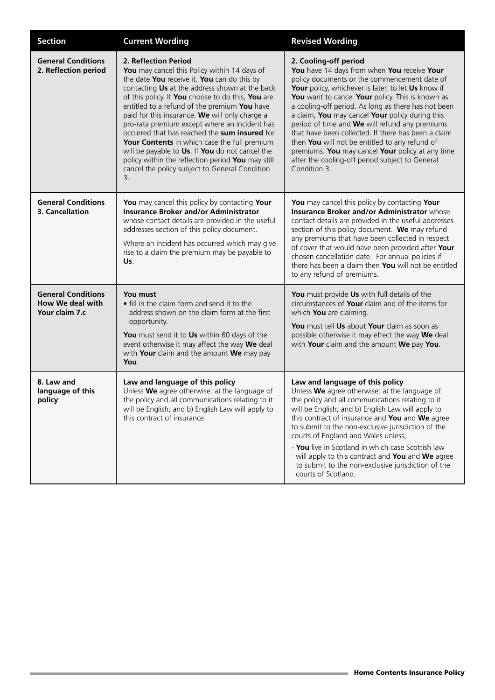| <b>Section</b>                                                  | <b>Current Wording</b>                                                                                                                                                                                                                                                                                                                                                                                                                                                                                                                                                                                                                         | <b>Revised Wording</b>                                                                                                                                                                                                                                                                                                                                                                                                                                                                                                                                                                                                     |
|-----------------------------------------------------------------|------------------------------------------------------------------------------------------------------------------------------------------------------------------------------------------------------------------------------------------------------------------------------------------------------------------------------------------------------------------------------------------------------------------------------------------------------------------------------------------------------------------------------------------------------------------------------------------------------------------------------------------------|----------------------------------------------------------------------------------------------------------------------------------------------------------------------------------------------------------------------------------------------------------------------------------------------------------------------------------------------------------------------------------------------------------------------------------------------------------------------------------------------------------------------------------------------------------------------------------------------------------------------------|
| <b>General Conditions</b><br>2. Reflection period               | 2. Reflection Period<br>You may cancel this Policy within 14 days of<br>the date You receive it. You can do this by<br>contacting Us at the address shown at the back<br>of this policy. If You choose to do this, You are<br>entitled to a refund of the premium You have<br>paid for this insurance. We will only charge a<br>pro-rata premium except where an incident has<br>occurred that has reached the sum insured for<br>Your Contents in which case the full premium<br>will be payable to Us. If You do not cancel the<br>policy within the reflection period You may still<br>cancel the policy subject to General Condition<br>3. | 2. Cooling-off period<br>You have 14 days from when You receive Your<br>policy documents or the commencement date of<br>Your policy, whichever is later, to let Us know if<br>You want to cancel Your policy. This is known as<br>a cooling-off period. As long as there has not been<br>a claim, You may cancel Your policy during this<br>period of time and We will refund any premiums<br>that have been collected. If there has been a claim<br>then You will not be entitled to any refund of<br>premiums. You may cancel Your policy at any time<br>after the cooling-off period subject to General<br>Condition 3. |
| <b>General Conditions</b><br>3. Cancellation                    | You may cancel this policy by contacting Your<br><b>Insurance Broker and/or Administrator</b><br>whose contact details are provided in the useful<br>addresses section of this policy document.<br>Where an incident has occurred which may give<br>rise to a claim the premium may be payable to<br>Us.                                                                                                                                                                                                                                                                                                                                       | You may cancel this policy by contacting Your<br><b>Insurance Broker and/or Administrator whose</b><br>contact details are provided in the useful addresses<br>section of this policy document. We may refund<br>any premiums that have been collected in respect<br>of cover that would have been provided after Your<br>chosen cancellation date. For annual policies if<br>there has been a claim then You will not be entitled<br>to any refund of premiums.                                                                                                                                                           |
| <b>General Conditions</b><br>How We deal with<br>Your claim 7.c | You must<br>• fill in the claim form and send it to the<br>address shown on the claim form at the first<br>opportunity.<br>You must send it to Us within 60 days of the<br>event otherwise it may affect the way We deal<br>with Your claim and the amount We may pay<br>You.                                                                                                                                                                                                                                                                                                                                                                  | You must provide Us with full details of the<br>circumstances of Your claim and of the items for<br>which You are claiming.<br>You must tell Us about Your claim as soon as<br>possible otherwise it may effect the way We deal<br>with Your claim and the amount We pay You.                                                                                                                                                                                                                                                                                                                                              |
| 8. Law and<br>language of this<br>policy                        | Law and language of this policy<br>Unless We agree otherwise: a) the language of<br>the policy and all communications relating to it<br>will be English; and b) English Law will apply to<br>this contract of insurance.                                                                                                                                                                                                                                                                                                                                                                                                                       | Law and language of this policy<br>Unless We agree otherwise: a) the language of<br>the policy and all communications relating to it<br>will be English; and b) English Law will apply to<br>this contract of insurance and You and We agree<br>to submit to the non-exclusive jurisdiction of the<br>courts of England and Wales unless;<br>- You live in Scotland in which case Scottish law<br>will apply to this contract and You and We agree<br>to submit to the non-exclusive jurisdiction of the<br>courts of Scotland.                                                                                            |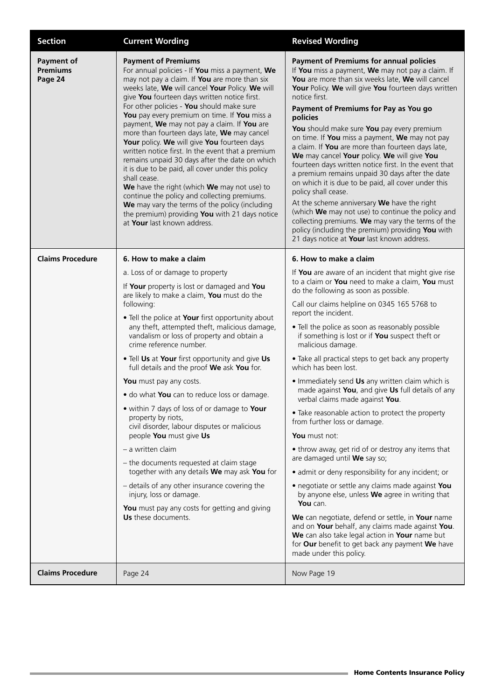| <b>Section</b>                                  | <b>Current Wording</b>                                                                                                                                                                                                                                                                                                                                                                                                                                                                                                                                                                                                                                                                                                                                                                                                                                                                                                                                 | <b>Revised Wording</b>                                                                                                                                                                                                                                                                                                                                                                                                                                                                                                                                                                                                                                                                                                                                                                                                                                                                                                                                                                                                                                                                                                                                                                        |
|-------------------------------------------------|--------------------------------------------------------------------------------------------------------------------------------------------------------------------------------------------------------------------------------------------------------------------------------------------------------------------------------------------------------------------------------------------------------------------------------------------------------------------------------------------------------------------------------------------------------------------------------------------------------------------------------------------------------------------------------------------------------------------------------------------------------------------------------------------------------------------------------------------------------------------------------------------------------------------------------------------------------|-----------------------------------------------------------------------------------------------------------------------------------------------------------------------------------------------------------------------------------------------------------------------------------------------------------------------------------------------------------------------------------------------------------------------------------------------------------------------------------------------------------------------------------------------------------------------------------------------------------------------------------------------------------------------------------------------------------------------------------------------------------------------------------------------------------------------------------------------------------------------------------------------------------------------------------------------------------------------------------------------------------------------------------------------------------------------------------------------------------------------------------------------------------------------------------------------|
| <b>Payment of</b><br><b>Premiums</b><br>Page 24 | <b>Payment of Premiums</b><br>For annual policies - If You miss a payment, We<br>may not pay a claim. If You are more than six<br>weeks late, We will cancel Your Policy. We will<br>give You fourteen days written notice first.<br>For other policies - You should make sure<br>You pay every premium on time. If You miss a<br>payment, We may not pay a claim. If You are<br>more than fourteen days late, We may cancel<br>Your policy. We will give You fourteen days<br>written notice first. In the event that a premium<br>remains unpaid 30 days after the date on which<br>it is due to be paid, all cover under this policy<br>shall cease.<br>We have the right (which We may not use) to<br>continue the policy and collecting premiums.<br>We may vary the terms of the policy (including<br>the premium) providing You with 21 days notice<br>at Your last known address.                                                              | <b>Payment of Premiums for annual policies</b><br>If You miss a payment, We may not pay a claim. If<br>You are more than six weeks late, We will cancel<br>Your Policy. We will give You fourteen days written<br>notice first.<br>Payment of Premiums for Pay as You go<br>policies<br>You should make sure You pay every premium<br>on time. If You miss a payment, We may not pay<br>a claim. If You are more than fourteen days late,<br>We may cancel Your policy. We will give You<br>fourteen days written notice first. In the event that<br>a premium remains unpaid 30 days after the date<br>on which it is due to be paid, all cover under this<br>policy shall cease.<br>At the scheme anniversary We have the right<br>(which We may not use) to continue the policy and<br>collecting premiums. We may vary the terms of the<br>policy (including the premium) providing You with<br>21 days notice at Your last known address.                                                                                                                                                                                                                                                |
| <b>Claims Procedure</b>                         | 6. How to make a claim<br>a. Loss of or damage to property<br>If Your property is lost or damaged and You<br>are likely to make a claim, You must do the<br>following:<br>. Tell the police at Your first opportunity about<br>any theft, attempted theft, malicious damage,<br>vandalism or loss of property and obtain a<br>crime reference number.<br>. Tell Us at Your first opportunity and give Us<br>full details and the proof We ask You for.<br>You must pay any costs.<br>. do what You can to reduce loss or damage.<br>• within 7 days of loss of or damage to Your<br>property by riots,<br>civil disorder, labour disputes or malicious<br>people You must give Us<br>- a written claim<br>- the documents requested at claim stage<br>together with any details We may ask You for<br>- details of any other insurance covering the<br>injury, loss or damage.<br>You must pay any costs for getting and giving<br>Us these documents. | 6. How to make a claim<br>If You are aware of an incident that might give rise<br>to a claim or You need to make a claim, You must<br>do the following as soon as possible.<br>Call our claims helpline on 0345 165 5768 to<br>report the incident.<br>• Tell the police as soon as reasonably possible<br>if something is lost or if You suspect theft or<br>malicious damage.<br>• Take all practical steps to get back any property<br>which has been lost.<br>. Immediately send Us any written claim which is<br>made against You, and give Us full details of any<br>verbal claims made against You.<br>• Take reasonable action to protect the property<br>from further loss or damage.<br>You must not:<br>• throw away, get rid of or destroy any items that<br>are damaged until We say so;<br>· admit or deny responsibility for any incident; or<br>• negotiate or settle any claims made against You<br>by anyone else, unless We agree in writing that<br>You can.<br>We can negotiate, defend or settle, in Your name<br>and on Your behalf, any claims made against You.<br>We can also take legal action in Your name but<br>for Our benefit to get back any payment We have |
| <b>Claims Procedure</b>                         | Page 24                                                                                                                                                                                                                                                                                                                                                                                                                                                                                                                                                                                                                                                                                                                                                                                                                                                                                                                                                | made under this policy.<br>Now Page 19                                                                                                                                                                                                                                                                                                                                                                                                                                                                                                                                                                                                                                                                                                                                                                                                                                                                                                                                                                                                                                                                                                                                                        |
|                                                 |                                                                                                                                                                                                                                                                                                                                                                                                                                                                                                                                                                                                                                                                                                                                                                                                                                                                                                                                                        |                                                                                                                                                                                                                                                                                                                                                                                                                                                                                                                                                                                                                                                                                                                                                                                                                                                                                                                                                                                                                                                                                                                                                                                               |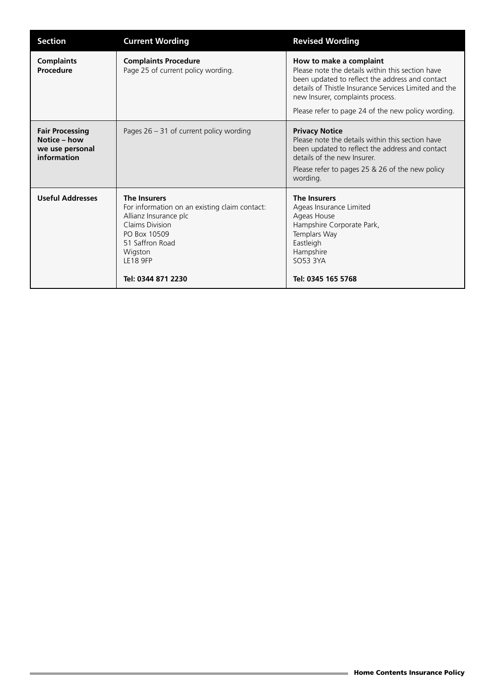| <b>Section</b>                                                           | <b>Current Wording</b>                                                                                                                                                                                  | <b>Revised Wording</b>                                                                                                                                                                                                                                                            |
|--------------------------------------------------------------------------|---------------------------------------------------------------------------------------------------------------------------------------------------------------------------------------------------------|-----------------------------------------------------------------------------------------------------------------------------------------------------------------------------------------------------------------------------------------------------------------------------------|
| <b>Complaints</b><br>Procedure                                           | <b>Complaints Procedure</b><br>Page 25 of current policy wording.                                                                                                                                       | How to make a complaint<br>Please note the details within this section have<br>been updated to reflect the address and contact<br>details of Thistle Insurance Services Limited and the<br>new Insurer, complaints process.<br>Please refer to page 24 of the new policy wording. |
| <b>Fair Processing</b><br>Notice - how<br>we use personal<br>information | Pages $26 - 31$ of current policy wording                                                                                                                                                               | <b>Privacy Notice</b><br>Please note the details within this section have<br>been updated to reflect the address and contact<br>details of the new Insurer.<br>Please refer to pages 25 & 26 of the new policy<br>wording.                                                        |
| <b>Useful Addresses</b>                                                  | <b>The Insurers</b><br>For information on an existing claim contact:<br>Allianz Insurance plc<br>Claims Division<br>PO Box 10509<br>51 Saffron Road<br>Wigston<br><b>LE18 9FP</b><br>Tel: 0344 871 2230 | <b>The Insurers</b><br>Ageas Insurance Limited<br>Ageas House<br>Hampshire Corporate Park,<br>Templars Way<br>Eastleigh<br>Hampshire<br>SO53 3YA<br>Tel: 0345 165 5768                                                                                                            |